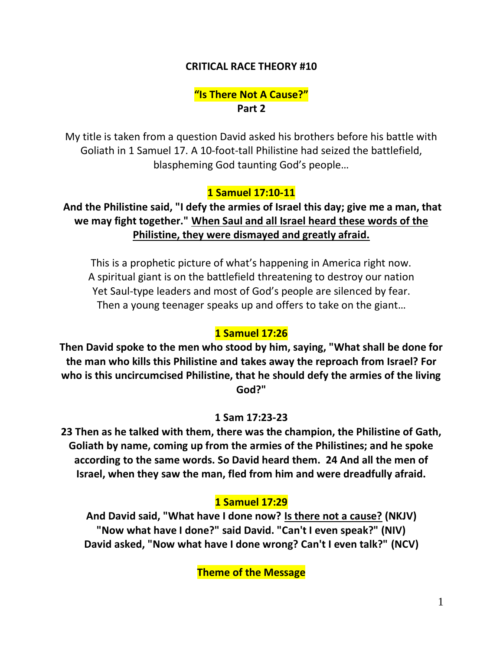### **CRITICAL RACE THEORY #10**

## **"Is There Not A Cause?" Part 2**

My title is taken from a question David asked his brothers before his battle with Goliath in 1 Samuel 17. A 10-foot-tall Philistine had seized the battlefield, blaspheming God taunting God's people…

## **1 Samuel 17:10-11**

**And the Philistine said, "I defy the armies of Israel this day; give me a man, that we may fight together." When Saul and all Israel heard these words of the Philistine, they were dismayed and greatly afraid.** 

This is a prophetic picture of what's happening in America right now. A spiritual giant is on the battlefield threatening to destroy our nation Yet Saul-type leaders and most of God's people are silenced by fear. Then a young teenager speaks up and offers to take on the giant…

#### **1 Samuel 17:26**

**Then David spoke to the men who stood by him, saying, "What shall be done for the man who kills this Philistine and takes away the reproach from Israel? For who is this uncircumcised Philistine, that he should defy the armies of the living God?"** 

#### **1 Sam 17:23-23**

**23 Then as he talked with them, there was the champion, the Philistine of Gath, Goliath by name, coming up from the armies of the Philistines; and he spoke according to the same words. So David heard them. 24 And all the men of Israel, when they saw the man, fled from him and were dreadfully afraid.** 

#### **1 Samuel 17:29**

**And David said, "What have I done now? Is there not a cause? (NKJV) "Now what have I done?" said David. "Can't I even speak?" (NIV) David asked, "Now what have I done wrong? Can't I even talk?" (NCV)**

**Theme of the Message**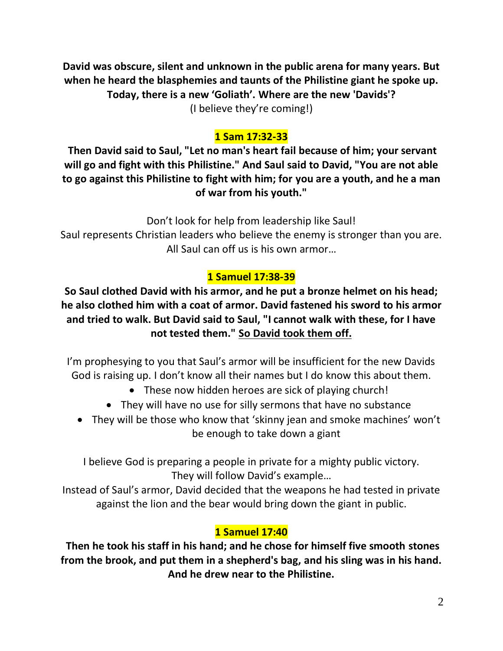**David was obscure, silent and unknown in the public arena for many years. But when he heard the blasphemies and taunts of the Philistine giant he spoke up. Today, there is a new 'Goliath'. Where are the new 'Davids'?** (I believe they're coming!)

# **1 Sam 17:32-33**

**Then David said to Saul, "Let no man's heart fail because of him; your servant will go and fight with this Philistine." And Saul said to David, "You are not able to go against this Philistine to fight with him; for you are a youth, and he a man of war from his youth."** 

Don't look for help from leadership like Saul!

Saul represents Christian leaders who believe the enemy is stronger than you are. All Saul can off us is his own armor…

## **1 Samuel 17:38-39**

**So Saul clothed David with his armor, and he put a bronze helmet on his head; he also clothed him with a coat of armor. David fastened his sword to his armor and tried to walk. But David said to Saul, "I cannot walk with these, for I have not tested them." So David took them off.**

I'm prophesying to you that Saul's armor will be insufficient for the new Davids God is raising up. I don't know all their names but I do know this about them.

- These now hidden heroes are sick of playing church!
- They will have no use for silly sermons that have no substance
- They will be those who know that 'skinny jean and smoke machines' won't be enough to take down a giant

I believe God is preparing a people in private for a mighty public victory. They will follow David's example…

Instead of Saul's armor, David decided that the weapons he had tested in private against the lion and the bear would bring down the giant in public.

# **1 Samuel 17:40**

**Then he took his staff in his hand; and he chose for himself five smooth stones from the brook, and put them in a shepherd's bag, and his sling was in his hand. And he drew near to the Philistine.**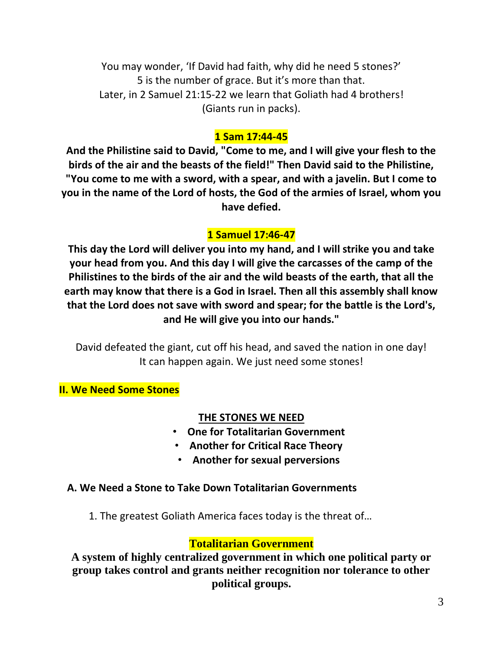You may wonder, 'If David had faith, why did he need 5 stones?' 5 is the number of grace. But it's more than that. Later, in 2 Samuel 21:15-22 we learn that Goliath had 4 brothers! (Giants run in packs).

## **1 Sam 17:44-45**

**And the Philistine said to David, "Come to me, and I will give your flesh to the birds of the air and the beasts of the field!" Then David said to the Philistine, "You come to me with a sword, with a spear, and with a javelin. But I come to you in the name of the Lord of hosts, the God of the armies of Israel, whom you have defied.** 

## **1 Samuel 17:46-47**

**This day the Lord will deliver you into my hand, and I will strike you and take your head from you. And this day I will give the carcasses of the camp of the Philistines to the birds of the air and the wild beasts of the earth, that all the earth may know that there is a God in Israel. Then all this assembly shall know that the Lord does not save with sword and spear; for the battle is the Lord's, and He will give you into our hands."** 

David defeated the giant, cut off his head, and saved the nation in one day! It can happen again. We just need some stones!

**II. We Need Some Stones**

#### **THE STONES WE NEED**

- **One for Totalitarian Government**
- **Another for Critical Race Theory**
- **Another for sexual perversions**

#### **A. We Need a Stone to Take Down Totalitarian Governments**

1. The greatest Goliath America faces today is the threat of…

## **Totalitarian Government**

**A system of highly centralized government in which one political party or group takes control and grants neither recognition nor tolerance to other political groups.**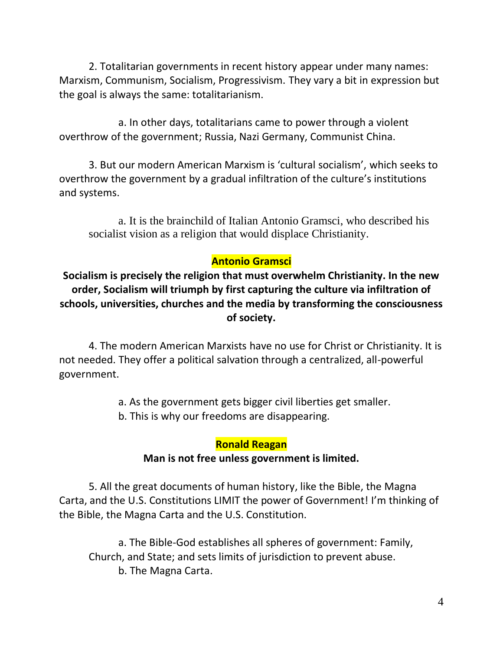2. Totalitarian governments in recent history appear under many names: Marxism, Communism, Socialism, Progressivism. They vary a bit in expression but the goal is always the same: totalitarianism.

a. In other days, totalitarians came to power through a violent overthrow of the government; Russia, Nazi Germany, Communist China.

3. But our modern American Marxism is 'cultural socialism', which seeks to overthrow the government by a gradual infiltration of the culture's institutions and systems.

a. It is the brainchild of Italian Antonio Gramsci, who described his socialist vision as a religion that would displace Christianity.

## **Antonio Gramsci**

**Socialism is precisely the religion that must overwhelm Christianity. In the new order, Socialism will triumph by first capturing the culture via infiltration of schools, universities, churches and the media by transforming the consciousness of society.**

4. The modern American Marxists have no use for Christ or Christianity. It is not needed. They offer a political salvation through a centralized, all-powerful government.

a. As the government gets bigger civil liberties get smaller.

b. This is why our freedoms are disappearing.

#### **Ronald Reagan**

#### **Man is not free unless government is limited.**

5. All the great documents of human history, like the Bible, the Magna Carta, and the U.S. Constitutions LIMIT the power of Government! I'm thinking of the Bible, the Magna Carta and the U.S. Constitution.

a. The Bible-God establishes all spheres of government: Family, Church, and State; and sets limits of jurisdiction to prevent abuse. b. The Magna Carta.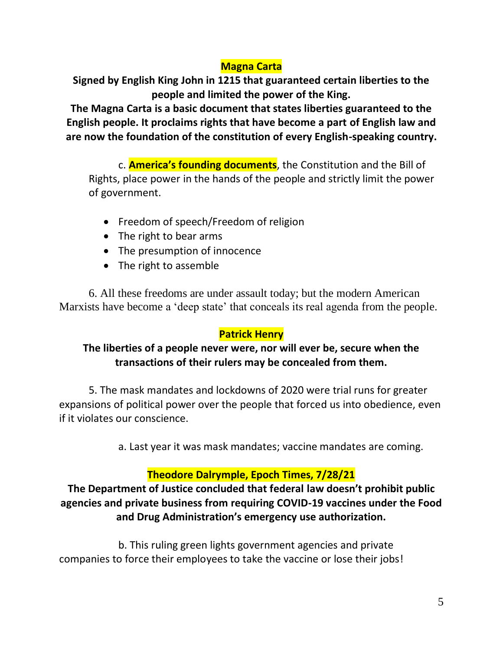## **Magna Carta**

**Signed by English King John in 1215 that guaranteed certain liberties to the people and limited the power of the King.** 

**The Magna Carta is a basic document that states liberties guaranteed to the English people. It proclaims rights that have become a part of English law and are now the foundation of the constitution of every English-speaking country.**

c. **America's founding documents**, the Constitution and the Bill of Rights, place power in the hands of the people and strictly limit the power of government.

- Freedom of speech/Freedom of religion
- The right to bear arms
- The presumption of innocence
- The right to assemble

6. All these freedoms are under assault today; but the modern American Marxists have become a 'deep state' that conceals its real agenda from the people.

#### **Patrick Henry**

## **The liberties of a people never were, nor will ever be, secure when the transactions of their rulers may be concealed from them.**

5. The mask mandates and lockdowns of 2020 were trial runs for greater expansions of political power over the people that forced us into obedience, even if it violates our conscience.

a. Last year it was mask mandates; vaccine mandates are coming.

## **Theodore Dalrymple, Epoch Times, 7/28/21**

**The Department of Justice concluded that federal law doesn't prohibit public agencies and private business from requiring COVID-19 vaccines under the Food and Drug Administration's emergency use authorization.**

b. This ruling green lights government agencies and private companies to force their employees to take the vaccine or lose their jobs!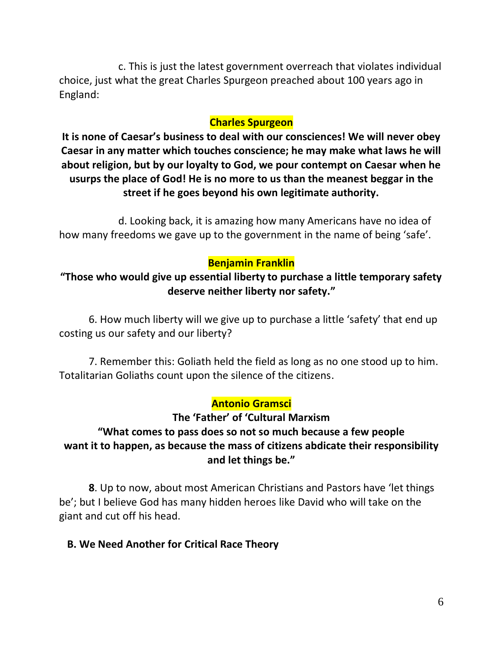c. This is just the latest government overreach that violates individual choice, just what the great Charles Spurgeon preached about 100 years ago in England:

### **Charles Spurgeon**

**It is none of Caesar's business to deal with our consciences! We will never obey Caesar in any matter which touches conscience; he may make what laws he will about religion, but by our loyalty to God, we pour contempt on Caesar when he usurps the place of God! He is no more to us than the meanest beggar in the street if he goes beyond his own legitimate authority.**

d. Looking back, it is amazing how many Americans have no idea of how many freedoms we gave up to the government in the name of being 'safe'.

## **Benjamin Franklin**

**"Those who would give up essential liberty to purchase a little temporary safety deserve neither liberty nor safety."**

6. How much liberty will we give up to purchase a little 'safety' that end up costing us our safety and our liberty?

7. Remember this: Goliath held the field as long as no one stood up to him. Totalitarian Goliaths count upon the silence of the citizens.

## **Antonio Gramsci**

## **The 'Father' of 'Cultural Marxism "What comes to pass does so not so much because a few people want it to happen, as because the mass of citizens abdicate their responsibility and let things be."**

**8**. Up to now, about most American Christians and Pastors have 'let things be'; but I believe God has many hidden heroes like David who will take on the giant and cut off his head.

## **B. We Need Another for Critical Race Theory**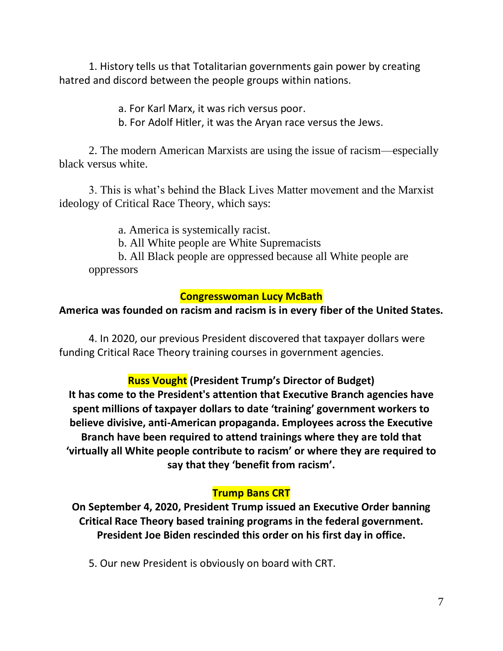1. History tells us that Totalitarian governments gain power by creating hatred and discord between the people groups within nations.

a. For Karl Marx, it was rich versus poor.

b. For Adolf Hitler, it was the Aryan race versus the Jews.

2. The modern American Marxists are using the issue of racism—especially black versus white.

3. This is what's behind the Black Lives Matter movement and the Marxist ideology of Critical Race Theory, which says:

a. America is systemically racist.

b. All White people are White Supremacists

b. All Black people are oppressed because all White people are oppressors

#### **Congresswoman Lucy McBath**

#### **America was founded on racism and racism is in every fiber of the United States.**

4. In 2020, our previous President discovered that taxpayer dollars were funding Critical Race Theory training courses in government agencies.

## **Russ Vought (President Trump's Director of Budget)**

**It has come to the President's attention that Executive Branch agencies have spent millions of taxpayer dollars to date 'training' government workers to believe divisive, anti-American propaganda. Employees across the Executive Branch have been required to attend trainings where they are told that 'virtually all White people contribute to racism' or where they are required to say that they 'benefit from racism'.**

#### **Trump Bans CRT**

**On September 4, 2020, President Trump issued an Executive Order banning Critical Race Theory based training programs in the federal government. President Joe Biden rescinded this order on his first day in office.**

5. Our new President is obviously on board with CRT.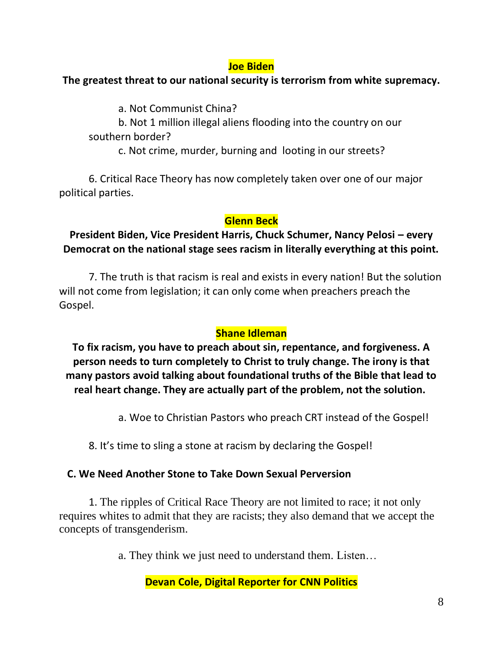### **Joe Biden**

### **The greatest threat to our national security is terrorism from white supremacy.**

a. Not Communist China?

b. Not 1 million illegal aliens flooding into the country on our southern border?

c. Not crime, murder, burning and looting in our streets?

6. Critical Race Theory has now completely taken over one of our major political parties.

## **Glenn Beck**

## **President Biden, Vice President Harris, Chuck Schumer, Nancy Pelosi – every Democrat on the national stage sees racism in literally everything at this point.**

7. The truth is that racism is real and exists in every nation! But the solution will not come from legislation; it can only come when preachers preach the Gospel.

## **Shane Idleman**

**To fix racism, you have to preach about sin, repentance, and forgiveness. A person needs to turn completely to Christ to truly change. The irony is that many pastors avoid talking about foundational truths of the Bible that lead to real heart change. They are actually part of the problem, not the solution.**

a. Woe to Christian Pastors who preach CRT instead of the Gospel!

8. It's time to sling a stone at racism by declaring the Gospel!

## **C. We Need Another Stone to Take Down Sexual Perversion**

1. The ripples of Critical Race Theory are not limited to race; it not only requires whites to admit that they are racists; they also demand that we accept the concepts of transgenderism.

a. They think we just need to understand them. Listen…

## **Devan Cole, Digital Reporter for CNN Politics**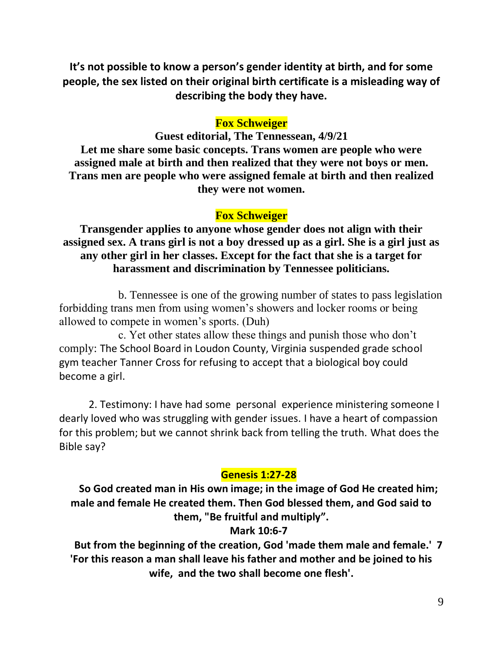**It's not possible to know a person's gender identity at birth, and for some people, the sex listed on their original birth certificate is a misleading way of describing the body they have.**

### **Fox Schweiger**

**Guest editorial, The Tennessean, 4/9/21 Let me share some basic concepts. Trans women are people who were assigned male at birth and then realized that they were not boys or men. Trans men are people who were assigned female at birth and then realized they were not women.**

#### **Fox Schweiger**

**Transgender applies to anyone whose gender does not align with their assigned sex. A trans girl is not a boy dressed up as a girl. She is a girl just as any other girl in her classes. Except for the fact that she is a target for harassment and discrimination by Tennessee politicians.**

b. Tennessee is one of the growing number of states to pass legislation forbidding trans men from using women's showers and locker rooms or being allowed to compete in women's sports. (Duh)

c. Yet other states allow these things and punish those who don't comply: The School Board in Loudon County, Virginia suspended grade school gym teacher Tanner Cross for refusing to accept that a biological boy could become a girl.

2. Testimony: I have had some personal experience ministering someone I dearly loved who was struggling with gender issues. I have a heart of compassion for this problem; but we cannot shrink back from telling the truth. What does the Bible say?

#### **Genesis 1:27-28**

**So God created man in His own image; in the image of God He created him; male and female He created them. Then God blessed them, and God said to them, "Be fruitful and multiply".**

#### **Mark 10:6-7**

**But from the beginning of the creation, God 'made them male and female.' 7 'For this reason a man shall leave his father and mother and be joined to his wife, and the two shall become one flesh'.**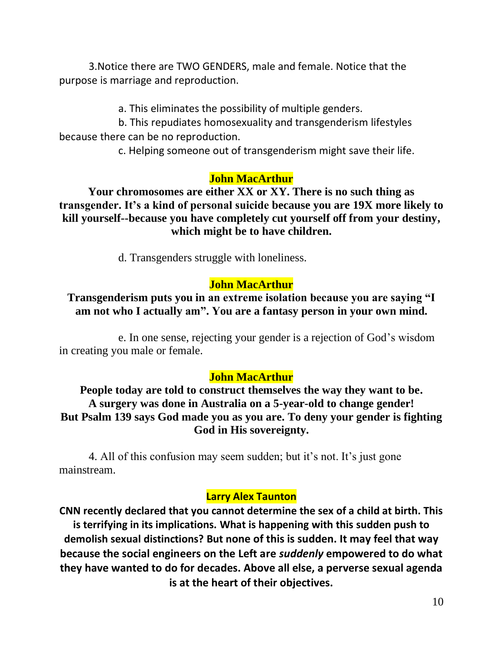3.Notice there are TWO GENDERS, male and female. Notice that the purpose is marriage and reproduction.

a. This eliminates the possibility of multiple genders.

b. This repudiates homosexuality and transgenderism lifestyles because there can be no reproduction.

c. Helping someone out of transgenderism might save their life.

#### **John MacArthur**

**Your chromosomes are either XX or XY. There is no such thing as transgender. It's a kind of personal suicide because you are 19X more likely to kill yourself--because you have completely cut yourself off from your destiny, which might be to have children.**

d. Transgenders struggle with loneliness.

## **John MacArthur**

## **Transgenderism puts you in an extreme isolation because you are saying "I am not who I actually am". You are a fantasy person in your own mind.**

e. In one sense, rejecting your gender is a rejection of God's wisdom in creating you male or female.

#### **John MacArthur**

**People today are told to construct themselves the way they want to be. A surgery was done in Australia on a 5-year-old to change gender! But Psalm 139 says God made you as you are. To deny your gender is fighting God in His sovereignty.**

4. All of this confusion may seem sudden; but it's not. It's just gone mainstream.

#### **Larry Alex Taunton**

**CNN recently declared that you cannot determine the sex of a child at birth. This is terrifying in its implications. What is happening with this sudden push to demolish sexual distinctions? But none of this is sudden. It may feel that way because the social engineers on the Left are** *suddenly* **empowered to do what they have wanted to do for decades. Above all else, a perverse sexual agenda is at the heart of their objectives.**